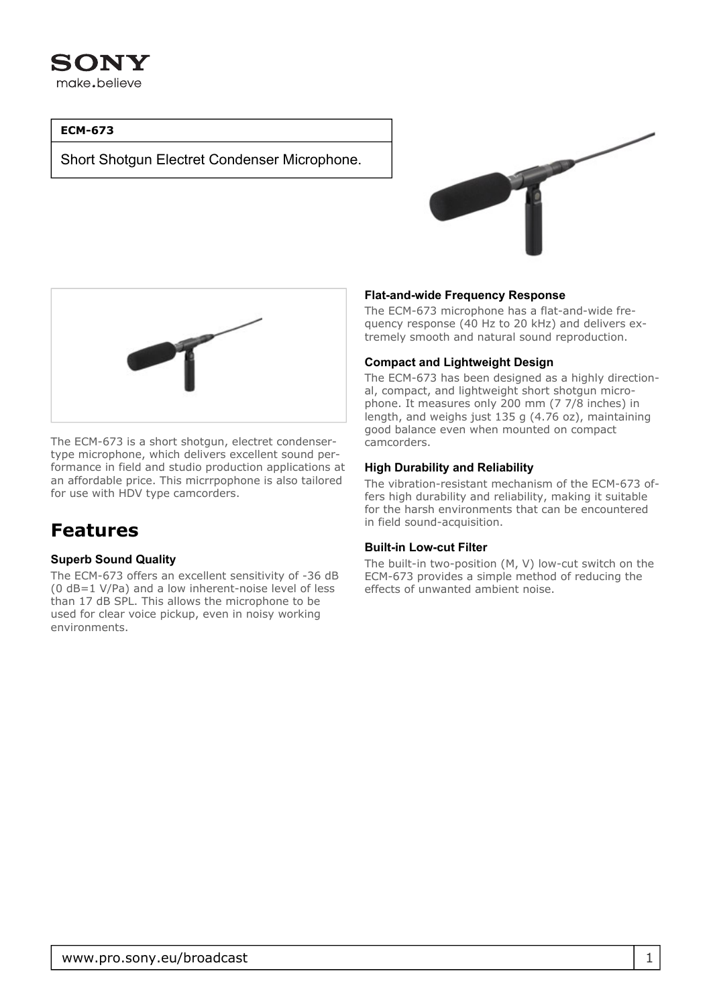

## **ECM-673**

Short Shotgun Electret Condenser Microphone.





The ECM-673 is a short shotgun, electret condensertype microphone, which delivers excellent sound performance in field and studio production applications at an affordable price. This micrrpophone is also tailored for use with HDV type camcorders.

# **Features**

#### **Superb Sound Quality**

The ECM-673 offers an excellent sensitivity of -36 dB (0 dB=1 V/Pa) and a low inherent-noise level of less than 17 dB SPL. This allows the microphone to be used for clear voice pickup, even in noisy working environments.

#### **Flat-and-wide Frequency Response**

The ECM-673 microphone has a flat-and-wide frequency response (40 Hz to 20 kHz) and delivers extremely smooth and natural sound reproduction.

#### **Compact and Lightweight Design**

The ECM-673 has been designed as a highly directional, compact, and lightweight short shotgun microphone. It measures only 200 mm (7 7/8 inches) in length, and weighs just 135 g (4.76 oz), maintaining good balance even when mounted on compact camcorders.

#### **High Durability and Reliability**

The vibration-resistant mechanism of the ECM-673 offers high durability and reliability, making it suitable for the harsh environments that can be encountered in field sound-acquisition.

#### **Built-in Low-cut Filter**

The built-in two-position (M, V) low-cut switch on the ECM-673 provides a simple method of reducing the effects of unwanted ambient noise.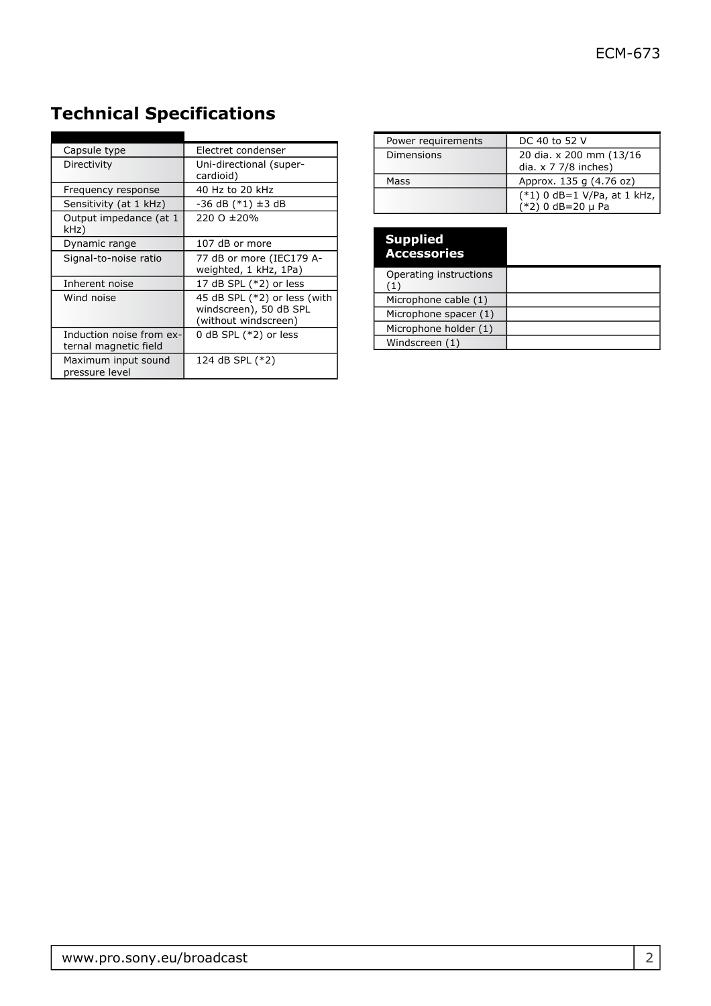| Capsule type                                      | Electret condenser                                                             |
|---------------------------------------------------|--------------------------------------------------------------------------------|
| Directivity                                       | Uni-directional (super-<br>cardioid)                                           |
| Frequency response                                | 40 Hz to 20 kHz                                                                |
| Sensitivity (at 1 kHz)                            | $-36$ dB $(*1)$ $\pm 3$ dB                                                     |
| Output impedance (at 1<br>kHz)                    | 220 O ± 20%                                                                    |
| Dynamic range                                     | 107 dB or more                                                                 |
| Signal-to-noise ratio                             | 77 dB or more (IEC179 A-<br>weighted, 1 kHz, 1Pa)                              |
| Inherent noise                                    | 17 dB SPL (*2) or less                                                         |
| Wind noise                                        | 45 dB SPL (*2) or less (with<br>windscreen), 50 dB SPL<br>(without windscreen) |
| Induction noise from ex-<br>ternal magnetic field | 0 dB SPL $(*2)$ or less                                                        |
| Maximum input sound<br>pressure level             | 124 dB SPL (*2)                                                                |

# **Technical Specifications**

| Power requirements | DC 40 to 52 V                                            |
|--------------------|----------------------------------------------------------|
| <b>Dimensions</b>  | 20 dia. x 200 mm (13/16)<br>dia. $\times$ 7 7/8 inches)  |
| Mass               | Approx. 135 g (4.76 oz)                                  |
|                    | $(*1)$ 0 dB=1 V/Pa, at 1 kHz,<br>$(*2)$ 0 dB=20 $\mu$ Pa |

| <b>Supplied</b><br><b>Accessories</b>       |  |
|---------------------------------------------|--|
| Operating instructions<br>$\left( 1\right)$ |  |
| Microphone cable (1)                        |  |
| Microphone spacer (1)                       |  |
| Microphone holder (1)                       |  |
| Windscreen (1)                              |  |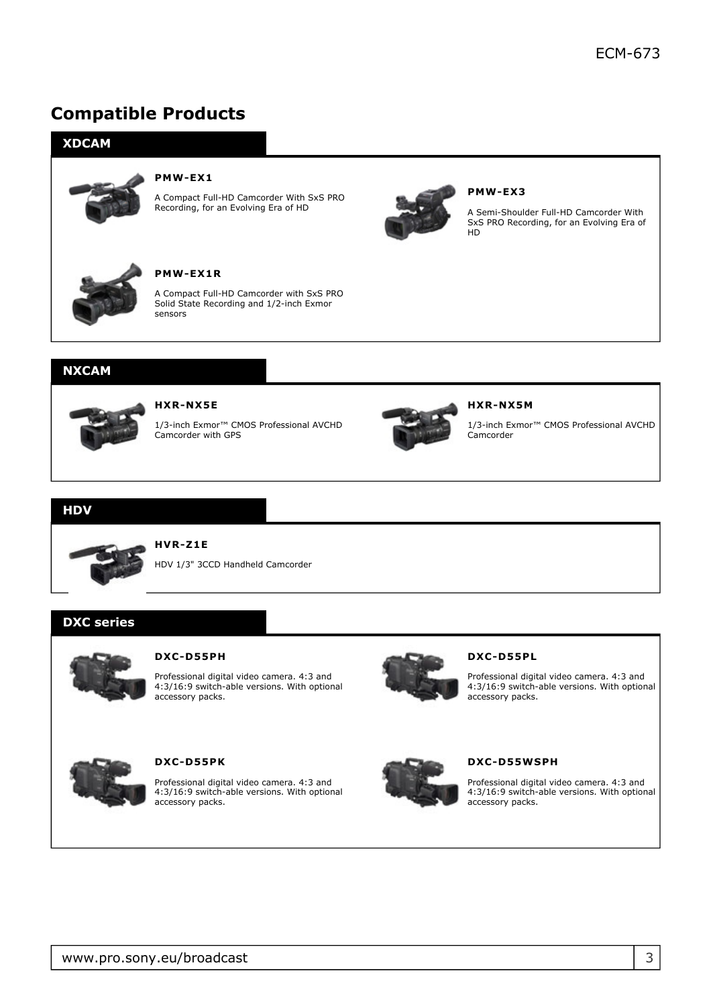# **Compatible Products**



## **NXCAM**



#### **HXR-NX5E**

1/3-inch Exmor™ CMOS Professional AVCHD Camcorder with GPS



#### **HXR-NX5M**

1/3-inch Exmor™ CMOS Professional AVCHD Camcorder

#### **HDV**



## **HVR-Z1E**

HDV 1/3" 3CCD Handheld Camcorder

# **DXC series**



#### **DXC-D55PH**

Professional digital video camera. 4:3 and 4:3/16:9 switch-able versions. With optional accessory packs.



#### **DXC-D55PL**

Professional digital video camera. 4:3 and 4:3/16:9 switch-able versions. With optional accessory packs.



#### **DXC-D55PK**

Professional digital video camera. 4:3 and 4:3/16:9 switch-able versions. With optional accessory packs.



#### **DXC-D55WSPH**

Professional digital video camera. 4:3 and 4:3/16:9 switch-able versions. With optional accessory packs.